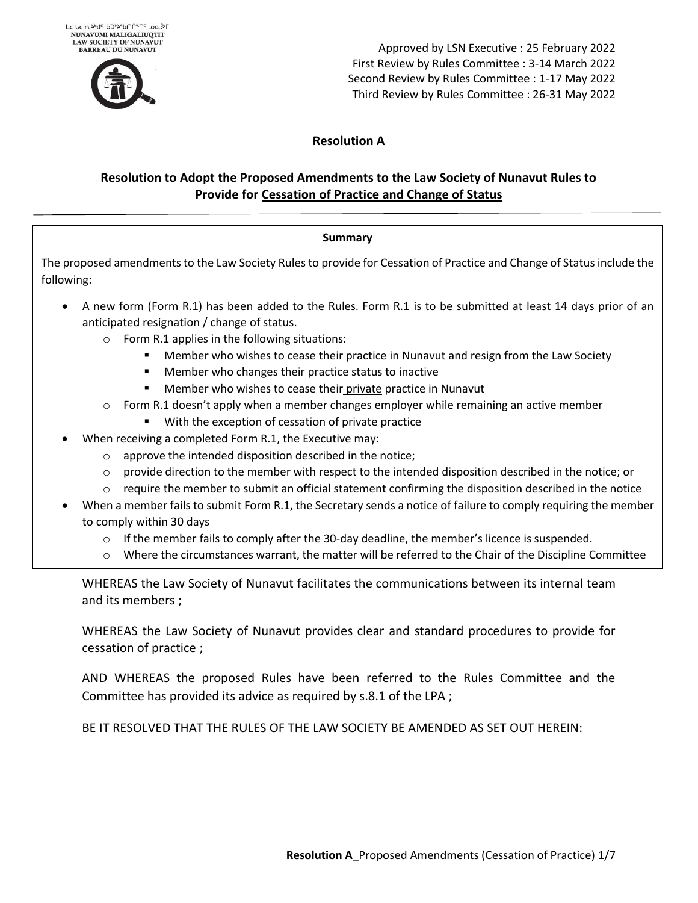

Approved by LSN Executive : 25 February 2022 First Review by Rules Committee : 3-14 March 2022 Second Review by Rules Committee : 1-17 May 2022 Third Review by Rules Committee : 26-31 May 2022

## **Resolution A**

# **Resolution to Adopt the Proposed Amendments to the Law Society of Nunavut Rules to Provide for Cessation of Practice and Change of Status**

### **Summary**

The proposed amendments to the Law Society Rules to provide for Cessation of Practice and Change of Status include the following:

- A new form (Form R.1) has been added to the Rules. Form R.1 is to be submitted at least 14 days prior of an anticipated resignation / change of status.
	- o Form R.1 applies in the following situations:
		- Member who wishes to cease their practice in Nunavut and resign from the Law Society
		- Member who changes their practice status to inactive
		- Member who wishes to cease their private practice in Nunavut
	- $\circ$  Form R.1 doesn't apply when a member changes employer while remaining an active member
		- With the exception of cessation of private practice
- When receiving a completed Form R.1, the Executive may:
	- o approve the intended disposition described in the notice;
	- $\circ$  provide direction to the member with respect to the intended disposition described in the notice; or
	- $\circ$  require the member to submit an official statement confirming the disposition described in the notice
- When a member fails to submit Form R.1, the Secretary sends a notice of failure to comply requiring the member to comply within 30 days
	- $\circ$  If the member fails to comply after the 30-day deadline, the member's licence is suspended.
	- o Where the circumstances warrant, the matter will be referred to the Chair of the Discipline Committee

WHEREAS the Law Society of Nunavut facilitates the communications between its internal team and its members ;

WHEREAS the Law Society of Nunavut provides clear and standard procedures to provide for cessation of practice ;

AND WHEREAS the proposed Rules have been referred to the Rules Committee and the Committee has provided its advice as required by s.8.1 of the LPA ;

BE IT RESOLVED THAT THE RULES OF THE LAW SOCIETY BE AMENDED AS SET OUT HEREIN: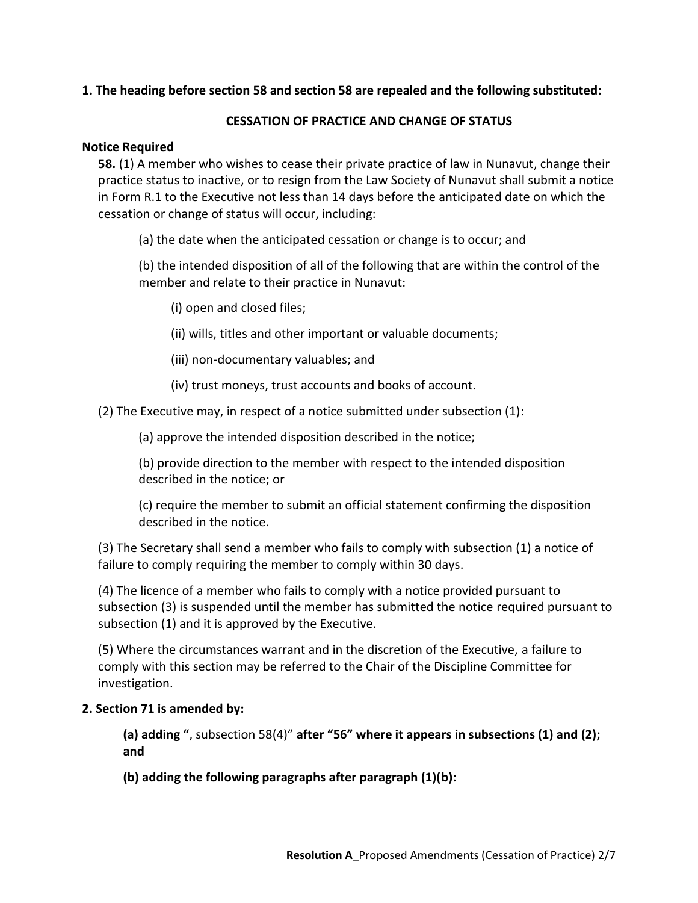## **1. The heading before section 58 and section 58 are repealed and the following substituted:**

## **CESSATION OF PRACTICE AND CHANGE OF STATUS**

### **Notice Required**

**58.** (1) A member who wishes to cease their private practice of law in Nunavut, change their practice status to inactive, or to resign from the Law Society of Nunavut shall submit a notice in Form R.1 to the Executive not less than 14 days before the anticipated date on which the cessation or change of status will occur, including:

(a) the date when the anticipated cessation or change is to occur; and

(b) the intended disposition of all of the following that are within the control of the member and relate to their practice in Nunavut:

(i) open and closed files;

(ii) wills, titles and other important or valuable documents;

(iii) non-documentary valuables; and

(iv) trust moneys, trust accounts and books of account.

(2) The Executive may, in respect of a notice submitted under subsection (1):

(a) approve the intended disposition described in the notice;

(b) provide direction to the member with respect to the intended disposition described in the notice; or

(c) require the member to submit an official statement confirming the disposition described in the notice.

(3) The Secretary shall send a member who fails to comply with subsection (1) a notice of failure to comply requiring the member to comply within 30 days.

(4) The licence of a member who fails to comply with a notice provided pursuant to subsection (3) is suspended until the member has submitted the notice required pursuant to subsection (1) and it is approved by the Executive.

(5) Where the circumstances warrant and in the discretion of the Executive, a failure to comply with this section may be referred to the Chair of the Discipline Committee for investigation.

## **2. Section 71 is amended by:**

**(a) adding "**, subsection 58(4)" **after "56" where it appears in subsections (1) and (2); and**

**(b) adding the following paragraphs after paragraph (1)(b):**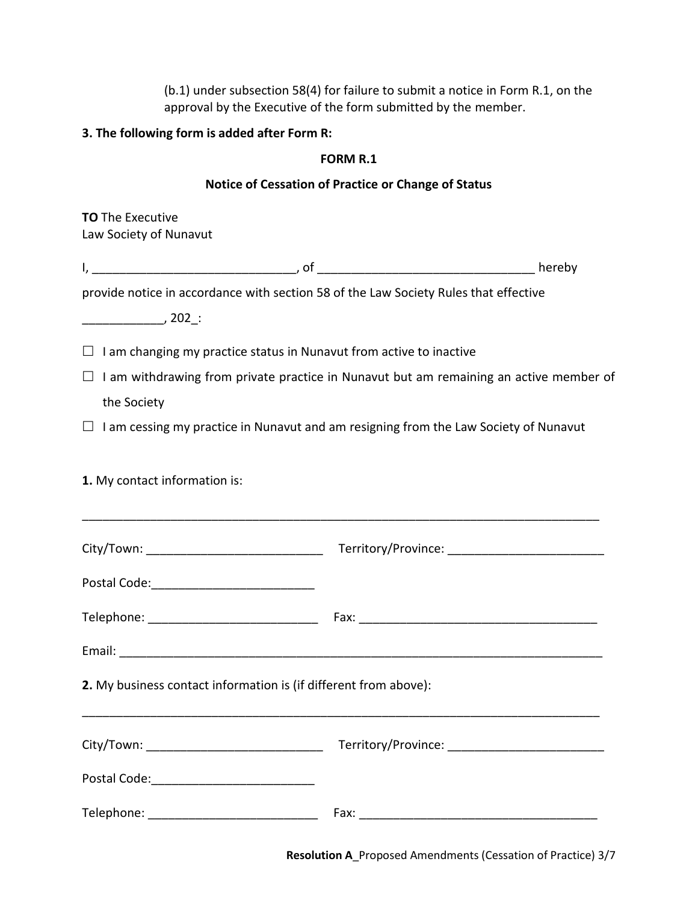(b.1) under subsection 58(4) for failure to submit a notice in Form R.1, on the approval by the Executive of the form submitted by the member.

# **3. The following form is added after Form R:**

### **FORM R.1**

# **Notice of Cessation of Practice or Change of Status**

**TO** The Executive Law Society of Nunavut

| provide notice in accordance with section 58 of the Law Society Rules that effective          |                                                                                                                                                                                                                                |  |  |  |
|-----------------------------------------------------------------------------------------------|--------------------------------------------------------------------------------------------------------------------------------------------------------------------------------------------------------------------------------|--|--|--|
|                                                                                               |                                                                                                                                                                                                                                |  |  |  |
| $\Box$ I am changing my practice status in Nunavut from active to inactive                    |                                                                                                                                                                                                                                |  |  |  |
| $\Box$ I am withdrawing from private practice in Nunavut but am remaining an active member of |                                                                                                                                                                                                                                |  |  |  |
| the Society                                                                                   |                                                                                                                                                                                                                                |  |  |  |
| $\Box$ I am cessing my practice in Nunavut and am resigning from the Law Society of Nunavut   |                                                                                                                                                                                                                                |  |  |  |
| 1. My contact information is:                                                                 |                                                                                                                                                                                                                                |  |  |  |
|                                                                                               |                                                                                                                                                                                                                                |  |  |  |
|                                                                                               |                                                                                                                                                                                                                                |  |  |  |
|                                                                                               |                                                                                                                                                                                                                                |  |  |  |
|                                                                                               |                                                                                                                                                                                                                                |  |  |  |
| 2. My business contact information is (if different from above):                              |                                                                                                                                                                                                                                |  |  |  |
|                                                                                               |                                                                                                                                                                                                                                |  |  |  |
| Postal Code: ________________________________                                                 |                                                                                                                                                                                                                                |  |  |  |
| Telephone: ____________________________                                                       | Fax: The contract of the contract of the contract of the contract of the contract of the contract of the contract of the contract of the contract of the contract of the contract of the contract of the contract of the contr |  |  |  |

**Resolution A**\_Proposed Amendments (Cessation of Practice) 3/7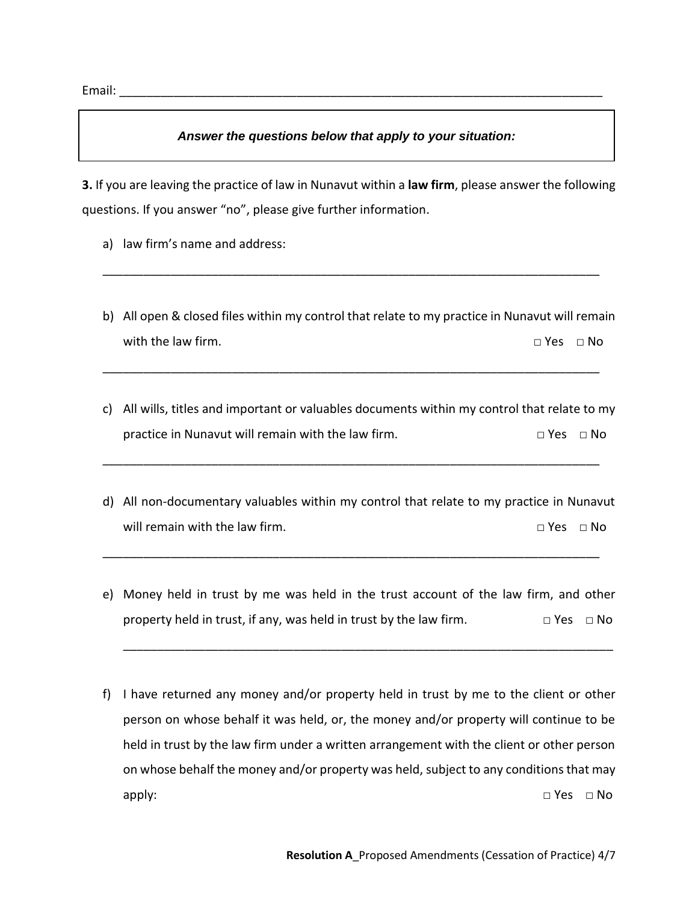Email: \_\_\_\_\_\_\_\_\_\_\_\_\_\_\_\_\_\_\_\_\_\_\_\_\_\_\_\_\_\_\_\_\_\_\_\_\_\_\_\_\_\_\_\_\_\_\_\_\_\_\_\_\_\_\_\_\_\_\_\_\_\_\_\_\_\_\_\_\_\_\_

### *Answer the questions below that apply to your situation:*

**3.** If you are leaving the practice of law in Nunavut within a **law firm**, please answer the following questions. If you answer "no", please give further information.

\_\_\_\_\_\_\_\_\_\_\_\_\_\_\_\_\_\_\_\_\_\_\_\_\_\_\_\_\_\_\_\_\_\_\_\_\_\_\_\_\_\_\_\_\_\_\_\_\_\_\_\_\_\_\_\_\_\_\_\_\_\_\_\_\_\_\_\_\_\_\_\_\_

- a) law firm's name and address:
- b) All open & closed files within my control that relate to my practice in Nunavut will remain with the law firm. □ Yes □ No

\_\_\_\_\_\_\_\_\_\_\_\_\_\_\_\_\_\_\_\_\_\_\_\_\_\_\_\_\_\_\_\_\_\_\_\_\_\_\_\_\_\_\_\_\_\_\_\_\_\_\_\_\_\_\_\_\_\_\_\_\_\_\_\_\_\_\_\_\_\_\_\_\_

c) All wills, titles and important or valuables documents within my control that relate to my practice in Nunavut will remain with the law firm.  $\Box$  Yes  $\Box$  No

\_\_\_\_\_\_\_\_\_\_\_\_\_\_\_\_\_\_\_\_\_\_\_\_\_\_\_\_\_\_\_\_\_\_\_\_\_\_\_\_\_\_\_\_\_\_\_\_\_\_\_\_\_\_\_\_\_\_\_\_\_\_\_\_\_\_\_\_\_\_\_\_\_

d) All non-documentary valuables within my control that relate to my practice in Nunavut will remain with the law firm.  $\Box$  Yes  $\Box$  No

\_\_\_\_\_\_\_\_\_\_\_\_\_\_\_\_\_\_\_\_\_\_\_\_\_\_\_\_\_\_\_\_\_\_\_\_\_\_\_\_\_\_\_\_\_\_\_\_\_\_\_\_\_\_\_\_\_\_\_\_\_\_\_\_\_\_\_\_\_\_\_\_\_

e) Money held in trust by me was held in the trust account of the law firm, and other property held in trust, if any, was held in trust by the law firm.  $\Box$  Yes  $\Box$  No

\_\_\_\_\_\_\_\_\_\_\_\_\_\_\_\_\_\_\_\_\_\_\_\_\_\_\_\_\_\_\_\_\_\_\_\_\_\_\_\_\_\_\_\_\_\_\_\_\_\_\_\_\_\_\_\_\_\_\_\_\_\_\_\_\_\_\_\_\_\_\_\_

f) I have returned any money and/or property held in trust by me to the client or other person on whose behalf it was held, or, the money and/or property will continue to be held in trust by the law firm under a written arrangement with the client or other person on whose behalf the money and/or property was held, subject to any conditions that may apply: □ Yes □ No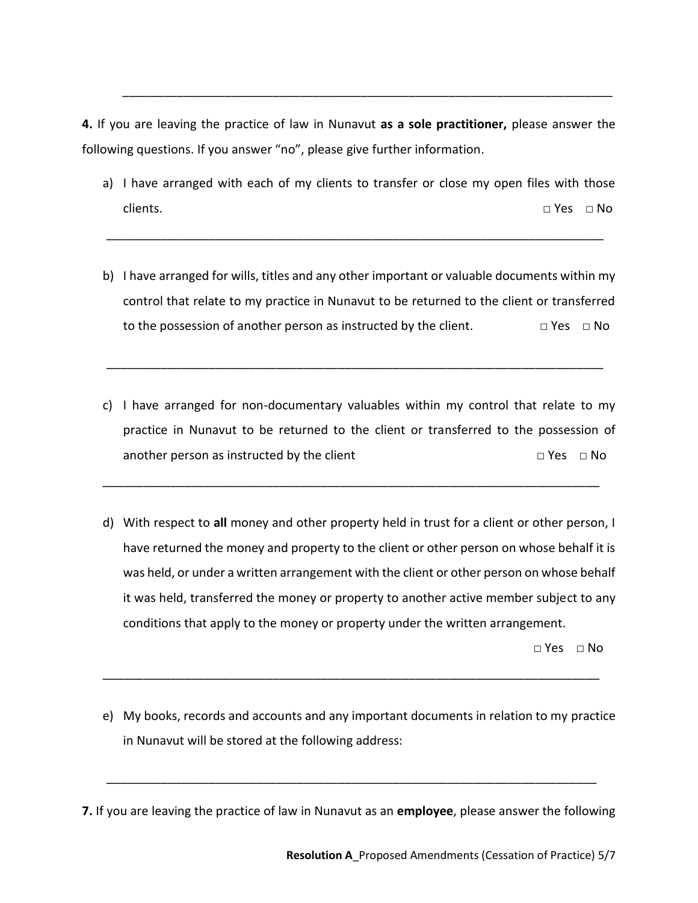**4.** If you are leaving the practice of law in Nunavut **as a sole practitioner,** please answer the following questions. If you answer "no", please give further information.

\_\_\_\_\_\_\_\_\_\_\_\_\_\_\_\_\_\_\_\_\_\_\_\_\_\_\_\_\_\_\_\_\_\_\_\_\_\_\_\_\_\_\_\_\_\_\_\_\_\_\_\_\_\_\_\_\_\_\_\_\_\_\_\_\_\_\_\_\_\_\_\_

a) I have arranged with each of my clients to transfer or close my open files with those clients. □ Yes □ No

\_\_\_\_\_\_\_\_\_\_\_\_\_\_\_\_\_\_\_\_\_\_\_\_\_\_\_\_\_\_\_\_\_\_\_\_\_\_\_\_\_\_\_\_\_\_\_\_\_\_\_\_\_\_\_\_\_\_\_\_\_\_\_\_\_\_\_\_\_\_\_\_\_

b) I have arranged for wills, titles and any other important or valuable documents within my control that relate to my practice in Nunavut to be returned to the client or transferred to the possession of another person as instructed by the client.  $\Box$  Yes  $\Box$  No

\_\_\_\_\_\_\_\_\_\_\_\_\_\_\_\_\_\_\_\_\_\_\_\_\_\_\_\_\_\_\_\_\_\_\_\_\_\_\_\_\_\_\_\_\_\_\_\_\_\_\_\_\_\_\_\_\_\_\_\_\_\_\_\_\_\_\_\_\_\_\_\_\_

c) I have arranged for non-documentary valuables within my control that relate to my practice in Nunavut to be returned to the client or transferred to the possession of another person as instructed by the client □ □ No □ Yes □ No

\_\_\_\_\_\_\_\_\_\_\_\_\_\_\_\_\_\_\_\_\_\_\_\_\_\_\_\_\_\_\_\_\_\_\_\_\_\_\_\_\_\_\_\_\_\_\_\_\_\_\_\_\_\_\_\_\_\_\_\_\_\_\_\_\_\_\_\_\_\_\_\_\_

d) With respect to **all** money and other property held in trust for a client or other person, I have returned the money and property to the client or other person on whose behalf it is was held, or under a written arrangement with the client or other person on whose behalf it was held, transferred the money or property to another active member subject to any conditions that apply to the money or property under the written arrangement.

 $\Box$  Yes  $\Box$  No

e) My books, records and accounts and any important documents in relation to my practice in Nunavut will be stored at the following address:

\_\_\_\_\_\_\_\_\_\_\_\_\_\_\_\_\_\_\_\_\_\_\_\_\_\_\_\_\_\_\_\_\_\_\_\_\_\_\_\_\_\_\_\_\_\_\_\_\_\_\_\_\_\_\_\_\_\_\_\_\_\_\_\_\_\_\_\_\_\_\_\_\_

**7.** If you are leaving the practice of law in Nunavut as an **employee**, please answer the following

\_\_\_\_\_\_\_\_\_\_\_\_\_\_\_\_\_\_\_\_\_\_\_\_\_\_\_\_\_\_\_\_\_\_\_\_\_\_\_\_\_\_\_\_\_\_\_\_\_\_\_\_\_\_\_\_\_\_\_\_\_\_\_\_\_\_\_\_\_\_\_\_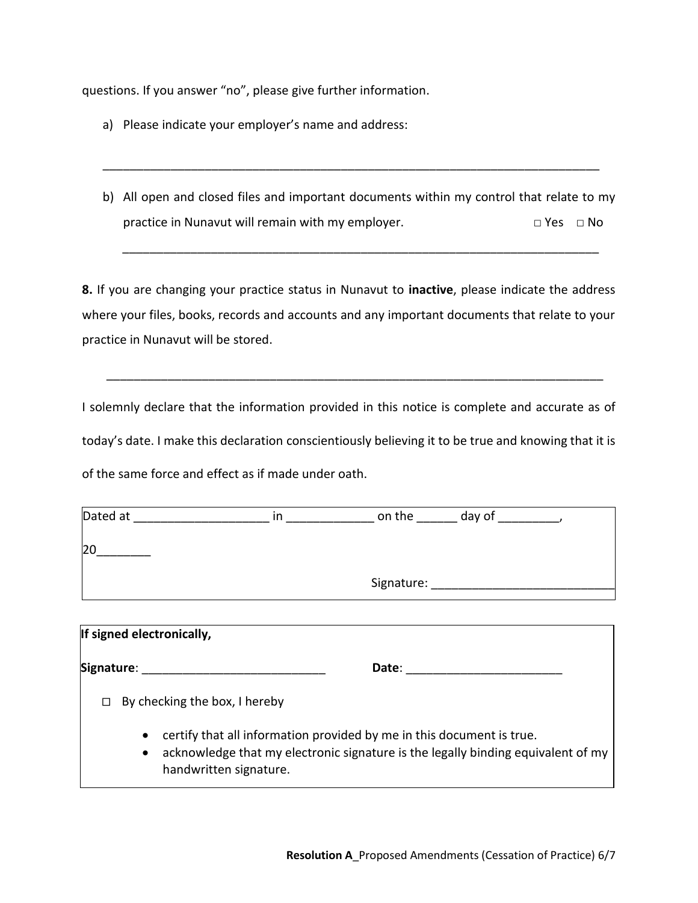questions. If you answer "no", please give further information.

- a) Please indicate your employer's name and address:
- b) All open and closed files and important documents within my control that relate to my practice in Nunavut will remain with my employer.  $□$  Yes  $□$  No

\_\_\_\_\_\_\_\_\_\_\_\_\_\_\_\_\_\_\_\_\_\_\_\_\_\_\_\_\_\_\_\_\_\_\_\_\_\_\_\_\_\_\_\_\_\_\_\_\_\_\_\_\_\_\_\_\_\_\_\_\_\_\_\_\_\_\_\_\_\_

\_\_\_\_\_\_\_\_\_\_\_\_\_\_\_\_\_\_\_\_\_\_\_\_\_\_\_\_\_\_\_\_\_\_\_\_\_\_\_\_\_\_\_\_\_\_\_\_\_\_\_\_\_\_\_\_\_\_\_\_\_\_\_\_\_\_\_\_\_\_\_\_\_

**8.** If you are changing your practice status in Nunavut to **inactive**, please indicate the address where your files, books, records and accounts and any important documents that relate to your practice in Nunavut will be stored.

\_\_\_\_\_\_\_\_\_\_\_\_\_\_\_\_\_\_\_\_\_\_\_\_\_\_\_\_\_\_\_\_\_\_\_\_\_\_\_\_\_\_\_\_\_\_\_\_\_\_\_\_\_\_\_\_\_\_\_\_\_\_\_\_\_\_\_\_\_\_\_\_\_

I solemnly declare that the information provided in this notice is complete and accurate as of today's date. I make this declaration conscientiously believing it to be true and knowing that it is of the same force and effect as if made under oath.

| Dated at <u>_________</u> |                                                                                                 | $\mathsf{in}$ ___________________ on the _________ day of _____________, |                                                                                  |
|---------------------------|-------------------------------------------------------------------------------------------------|--------------------------------------------------------------------------|----------------------------------------------------------------------------------|
| 20                        |                                                                                                 |                                                                          |                                                                                  |
|                           |                                                                                                 |                                                                          |                                                                                  |
| If signed electronically, |                                                                                                 |                                                                          |                                                                                  |
|                           |                                                                                                 |                                                                          |                                                                                  |
| $\Box$                    | By checking the box, I hereby                                                                   |                                                                          |                                                                                  |
| $\bullet$<br>$\bullet$    | certify that all information provided by me in this document is true.<br>handwritten signature. |                                                                          | acknowledge that my electronic signature is the legally binding equivalent of my |